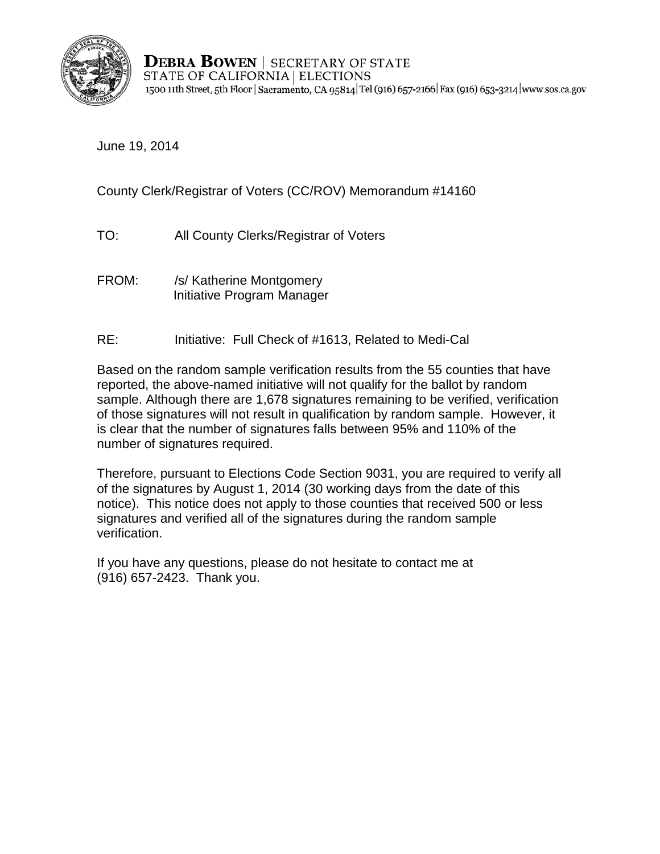

**DEBRA BOWEN** | SECRETARY OF STATE STATE OF CALIFORNIA | ELECTIONS 1500 11th Street, 5th Floor | Sacramento, CA 95814 Tel (916) 657-2166 | Fax (916) 653-3214 | www.sos.ca.gov

June 19, 2014

County Clerk/Registrar of Voters (CC/ROV) Memorandum #14160

- TO: All County Clerks/Registrar of Voters
- FROM: /s/ Katherine Montgomery Initiative Program Manager
- RE: Initiative: Full Check of #1613, Related to Medi-Cal

Based on the random sample verification results from the 55 counties that have reported, the above-named initiative will not qualify for the ballot by random sample. Although there are 1,678 signatures remaining to be verified, verification of those signatures will not result in qualification by random sample. However, it is clear that the number of signatures falls between 95% and 110% of the number of signatures required.

Therefore, pursuant to Elections Code Section 9031, you are required to verify all of the signatures by August 1, 2014 (30 working days from the date of this notice). This notice does not apply to those counties that received 500 or less signatures and verified all of the signatures during the random sample verification.

If you have any questions, please do not hesitate to contact me at (916) 657-2423. Thank you.